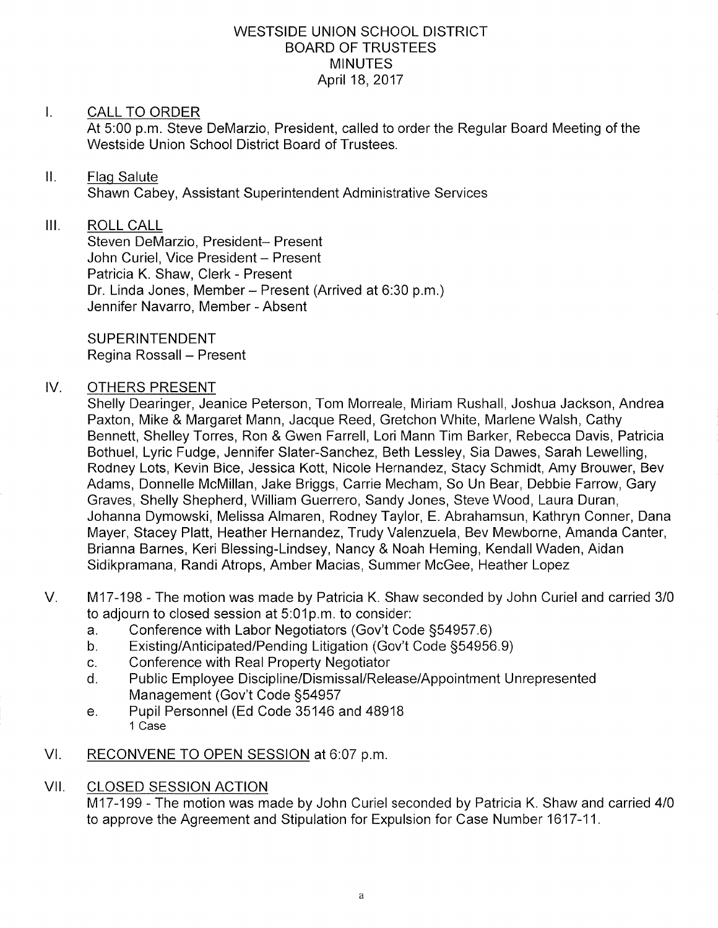### WESTSIDE UNION SCHOOL DISTRICT BOARD OF TRUSTEES MINUTES April 18,2017

### I. CALL TO ORDER

At 5:00 p.m. Steve DeMarzio, President, called to order the Regular Board Meeting of the Westside Union School District Board of Trustees.

#### $\prod$ Flag Salute

Shawn Cabey, Assistant Superintendent Administrative Services

## III. ROLL CALL

Steven DeMarzio, President- Present John Curiel, Vice President - Present Patricia K. Shaw, Clerk - Present Dr. Linda Jones, Member - Present (Arrived at 6:30 p.m.) Jennifer Navarro, Member - Absent

SUPERINTENDENT Regina Rossall - Present

### IV. OTHERS PRESENT

Shelly Dearinger, Jeanice Peterson, Tom Morreale, Miriam Rushall, Joshua Jackson, Andrea Paxton, Mike & Margaret Mann, Jacque Reed, Gretchon White, Marlene Walsh, Cathy Bennett, Shelley Torres, Ron & Gwen Farrell, Lori Mann Tim Barker, Rebecca Davis, Patricia Bothuel, Lyric Fudge, Jennifer Slater-Sanchez, Beth Lessley, Sia Dawes, Sarah Lewelling, Rodney Lots, Kevin Bice, Jessica Kott, Nicole Hernandez, Stacy Schmidt, Amy Brouwer, Bev Adams, Donnelle McMillan, Jake Briggs, Carrie Mecham, So Un Bear, Debbie Farrow, Gary Graves, Shelly Shepherd, William Guerrero, Sandy Jones, Steve Wood, Laura Duran, Johanna Dymowski, Melissa Almaren, Rodney Taylor, E. Abrahamsun, Kathryn Conner, Dana Mayer, Stacey Platt, Heather Hernandez, Trudy Valenzuela, Bev Mewborne, Amanda Canter, Brianna Barnes, Keri Blessing-Lindsey, Nancy & Noah Heming, Kendall Waden, Aidan Sidikpramana, Randi Atrops, Amber Macias, Summer McGee, Heather Lopez

- M17-198 The motion was made by Patricia K. Shaw seconded by John Curiel and carried 3/0 to adjourn to closed session at 5.01p.m. to consider. V
	-
	- a. Conference with Labor Negotiators (Gov't Code §54957.6)<br>b. Existing/Anticipated/Pending Litigation (Gov't Code §54956.9)<br>c. Conference with Real Property Negotiator
	-
	- c. Conference with Real Property Negotiator<br>d. Public Employee Discipline/Dismissal/Release/Appointment Unrepresented Management (Gov't Code S54957
	- e. Pupil Personnel (Ed Code 35146 and 48918 1 Case
- VI. RECONVENE TO OPEN SESSION at 6:07 p.m.

## VII. CLOSED SESSION ACTION

M17-199 - The motion was made by John Curiel seconded by Patricia K. Shaw and carried 4/0 to approve the Agreement and Stipulation for Expulsion for Case Number 1617-11.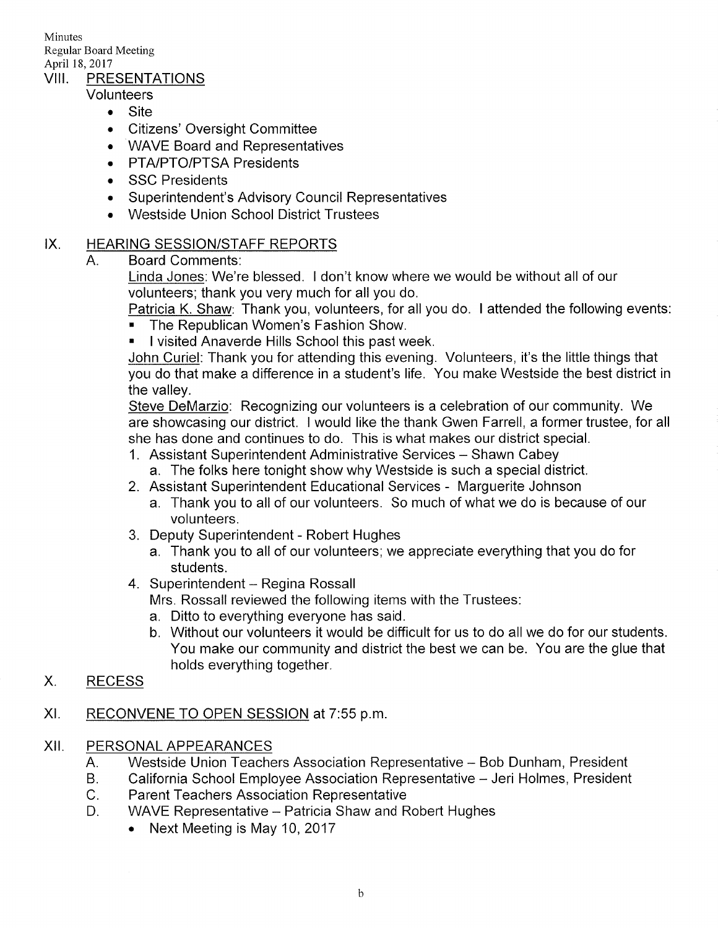Minutes Regular Board Meeting April 18, 2017<br>VIII. PRESENTATIONS

Volunteers

- Site
- Citizens' Oversight Committee
- WAVE Board and Representatives
- . PTA/PTO/PTSA Presidents
- . SSC Presidents
- . Superintendent's Advisory Council Representatives
- . Westside Union School District Trustees

#### IX HEARING SESSION/STAFF REPORTS

A. Board Comments:

Linda Jones: We're blessed. I don't know where we would be without all of our volunteers; thank you very much for all you do

Patricia K. Shaw: Thank you, volunteers, for all you do. I attended the following events:

- . The Republican Women's Fashion Show.
- **.** I visited Anaverde Hills School this past week.

John Curiel: Thank you for attending this evening. Volunteers, it's the little things that you do that make a difference in a student's life. You make Westside the best district in the valley.

Steve DeMarzio: Recognizing our volunteers is a celebration of our community. We are showcasing our district. I would like the thank Gwen Farrell, a former trustee, for all she has done and continues to do. This is what makes our district special.

- 1. Assistant Superintendent Administrative Services Shawn Cabey
	- a. The folks here tonight show why Westside is such a special district.
- 2. Assistant Superintendent Educational Services Marguerite Johnson
	- a. Thank you to all of our volunteers. So much of what we do is because of our volunteers.
- 3. Deputy Superintendent Robert Hughes
	- a. Thank you to all of our volunteers; we appreciate everything that you do for students.
- 4. Superintendent Regina Rossall

Mrs. Rossall reviewed the following items with the Trustees:

- a. Ditto to everything everyone has said.
- b. Without our volunteers it would be difficult for us to do all we do for our students. You make our community and district the best we can be. You are the glue that holds everything together.<br>X. RECESS
- 

## XI. RECONVENE TO OPEN SESSION at 7:55 p.m.

### XII. PERSONAL APPEARANCES

- A. Westside Union Teachers Association Representative - Bob Dunham, President
- B. California School Employee Association Representative - Jeri Holmes, President
- $C_{\cdot}$ Parent Teachers Association Representative
- $D<sub>1</sub>$ WAVE Representative - Patricia Shaw and Robert Hughes
	- Next Meeting is May 10, 2017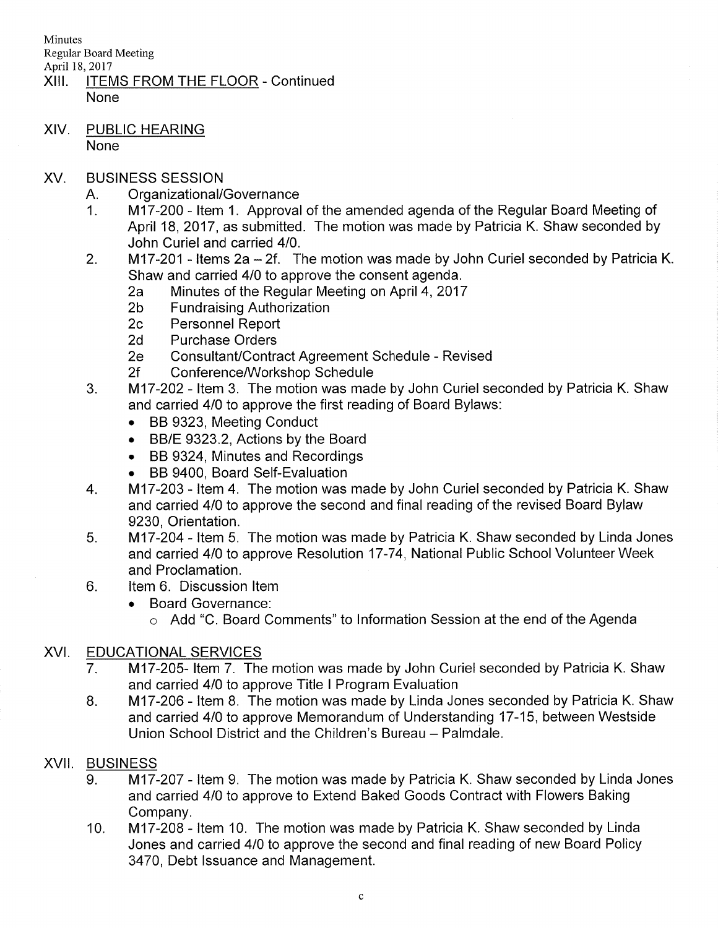**Minutes** Regular Board Meeting

- April 18, 2017<br>XIII. ITEMS FROM THE FLOOR Continued None
- XIV. PUBLIC HEARING None
- XV. BUSINESS SESSION
	-
	- A. Organizational/Governance<br>1. M17-200 Item 1. Approval of the amended agenda of the Regular Board Meeting of April 18,2017, as submitted. The motion was made by Patricia K. Shaw seconded by John Curiel and carried 410.
	- 2. M17-201 Items 2a 2f. The motion was made by John Curiel seconded by Patricia K.<br>Shaw and carried 4/0 to approve the consent agenda.
		- Shaw 20 to 20 to 20 to 2017 And consent agenda. 2017<br>
		Shaw Fundraising Authorization<br>
		2c Personnel Report 2d Purchase Orders
		-
		-
		-
		-
		-
	- 2e Consultant/Contract Agreement Schedule Revised<br>2f Conference/Workshop Schedule<br>3. lattem 3. The motion was made by John Curiel seconded by Patricia K. Shaw and carried 410 to approve the first reading of Board Bylaws:
		- . BB 9323, Meeting Conduct
		- . BB/E 9323.2, Actions by the Board
		- . BB 9324, Minutes and Recordings
		-
	- . BB 9400, Board Self-Evaluation 4. M17-203 ltem 4. The motion was made by John Curiel seconded by Patricia K. Shaw and carried 410 to approve the second and final reading of the revised Board Bylaw 9230, Orientation.<br>5. loiding 17-204 - Item 5. The motion was made by Patricia K. Shaw seconded by Linda Jones
	- and carried 4/0 to approve Resolution 17-74, National Public School Volunteer Week and Proclamation.
	- 6. ltem 6. Discussion ltem
		- . Board Governance:
			- o Add "C. Board Comments" to lnformation Session at the end of the Agenda

# XVI. EDUCATIONAL SERVICES

- 7. M17-205- Item 7. The motion was made by John Curiel seconded by Patricia K. Shaw and carried 4/0 to approve Title I Program Evaluation<br>8. **M17-206 - Item 8. The motion was made by Linda Jones seconded by Patricia K. Shaw**
- and carried 410 to approve Memorandum of Understanding 17-15, between Westside Union School District and the Children's Bureau - Palmdale.

## XVII. BUSINESS

- 9. M17-207 Item 9. The motion was made by Patricia K. Shaw seconded by Linda Jones and carried 410 to approve to Extend Baked Goods Contract with Flowers Baking Company.
- M17-208 Item 10. The motion was made by Patricia K. Shaw seconded by Linda Jones and carried 410 to approve the second and final reading of new Board Policy 3470, Debt lssuance and Management. 10